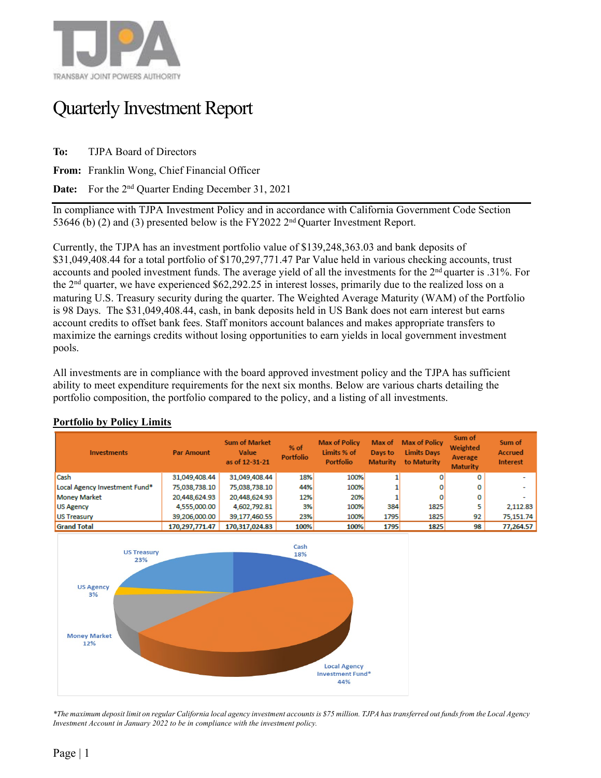

## Quarterly Investment Report

**To:** TJPA Board of Directors

**From:** Franklin Wong, Chief Financial Officer

**Date:** For the 2nd Quarter Ending December 31, 2021

In compliance with TJPA Investment Policy and in accordance with California Government Code Section 53646 (b) (2) and (3) presented below is the FY2022  $2<sup>nd</sup>$  Quarter Investment Report.

Currently, the TJPA has an investment portfolio value of \$139,248,363.03 and bank deposits of \$31,049,408.44 for a total portfolio of \$170,297,771.47 Par Value held in various checking accounts, trust accounts and pooled investment funds. The average yield of all the investments for the 2nd quarter is .31%. For the 2nd quarter, we have experienced \$62,292.25 in interest losses, primarily due to the realized loss on a maturing U.S. Treasury security during the quarter. The Weighted Average Maturity (WAM) of the Portfolio is 98 Days. The \$31,049,408.44, cash, in bank deposits held in US Bank does not earn interest but earns account credits to offset bank fees. Staff monitors account balances and makes appropriate transfers to maximize the earnings credits without losing opportunities to earn yields in local government investment pools.

All investments are in compliance with the board approved investment policy and the TJPA has sufficient ability to meet expenditure requirements for the next six months. Below are various charts detailing the portfolio composition, the portfolio compared to the policy, and a listing of all investments.



## **Portfolio by Policy Limits**

*\*The maximum deposit limit on regular California local agency investment accounts is \$75 million. TJPA has transferred out funds from the Local Agency Investment Account in January 2022 to be in compliance with the investment policy.*

**Local Agency Investment Fund\*** 44%

**Money Market** 12%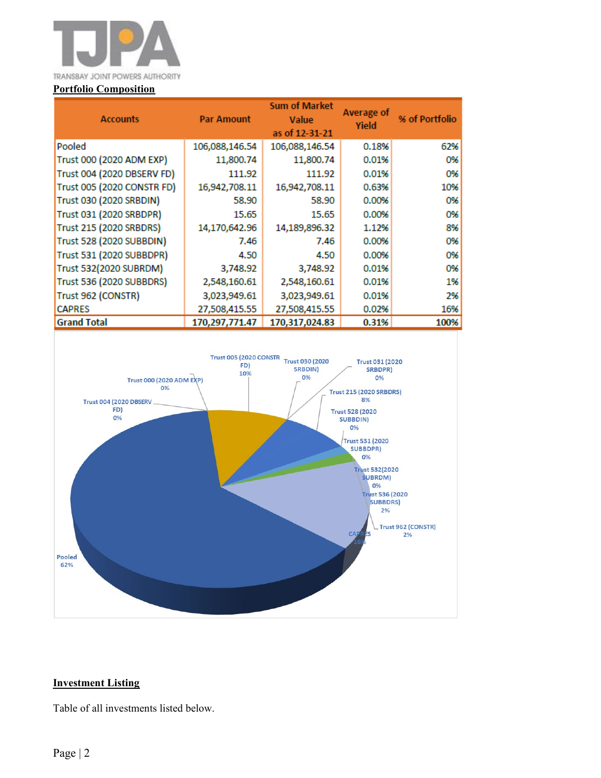

| <b>Accounts</b>            | <b>Par Amount</b> | <b>Sum of Market</b><br>Value<br>as of 12-31-21 | Average of<br>Yield | % of Portfolio |  |  |
|----------------------------|-------------------|-------------------------------------------------|---------------------|----------------|--|--|
| Pooled                     | 106,088,146.54    | 106,088,146.54                                  | 0.18%               | 62%            |  |  |
| Trust 000 (2020 ADM EXP)   | 11,800.74         | 11,800.74                                       | 0.01%               | 0%             |  |  |
| Trust 004 (2020 DBSERV FD) | 111.92            | 111.92                                          | 0.01%               | 0%             |  |  |
| Trust 005 (2020 CONSTR FD) | 16,942,708.11     | 16,942,708.11                                   | 0.63%               | 10%            |  |  |
| Trust 030 (2020 SRBDIN)    | 58.90             | 58.90                                           | 0.00%               | 0%             |  |  |
| Trust 031 (2020 SRBDPR)    | 15.65             | 15.65                                           | 0.00%               | 0%             |  |  |
| Trust 215 (2020 SRBDRS)    | 14,170,642.96     | 14,189,896.32                                   | 1.12%               | 8%             |  |  |
| Trust 528 (2020 SUBBDIN)   | 7.46              | 7.46                                            | 0.00%               | 0%             |  |  |
| Trust 531 (2020 SUBBDPR)   | 4.50              | 4.50                                            | 0.00%               | 0%             |  |  |
| Trust 532(2020 SUBRDM)     | 3,748.92          | 3,748.92                                        | 0.01%               | 0%             |  |  |
| Trust 536 (2020 SUBBDRS)   | 2,548,160.61      | 2,548,160.61                                    | 0.01%               | 1%             |  |  |
| Trust 962 (CONSTR)         | 3,023,949.61      | 3,023,949.61                                    | 0.01%               | 2%             |  |  |
| <b>CAPRES</b>              | 27,508,415.55     | 27,508,415.55                                   | 0.02%               | 16%            |  |  |
| <b>Grand Total</b>         | 170,297,771.47    | 170,317,024.83                                  | 0.31%               | 100%           |  |  |



## **Investment Listing**

Table of all investments listed below.